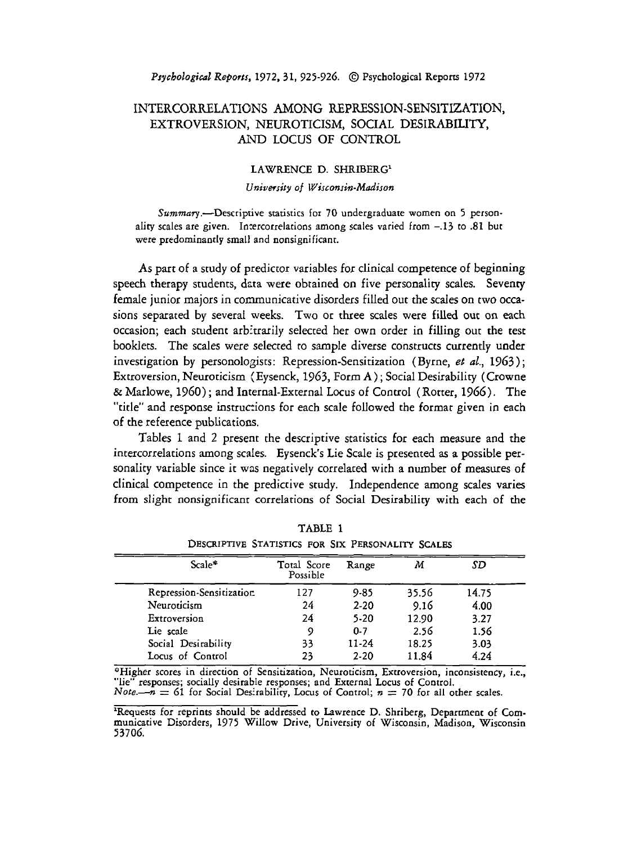*P~ycholo~iccrl Reports,* **1972.31, 925-926.** @ Psychological Reports **1972** 

## INTERCORRELATIONS AMONG REPRESSION-SENSITIZATION, EXTROVERSION, NEUROTICISM, SOCIAL DESIRABILITY, AND LOCUS OF CONTROL

## LAWRENCE D. SHRIBERG1

## *University* of *Wisconsin-Madison*

Summary.-Descriptive statistics for 70 undergraduate women on 5 personality scales are given. Intercorrelations among scales varied from **-.I3** to **.81** but were predominantly small and nonsignificant.

As part of a study of predictor variables for clinical competence of beginning speech therapy students, data were obtained on five personality scales. Seventy female junior majors in communicative disorders filled out the scales on two occasions separated by several weeks. Two or three scales were filled out on **each**  occasion; each student arbitrarily selected her own order in filling out the test booklets. The scales were selected to sample diverse constructs currently under investigation by personologists: Repression-Sensitization (Byrne, et al., 1963); Extroversion, Neuroticism (Eysenck, 1963, Form A) ; Social Desirability (Crowne & Marlowe, 1960) ; and Internal-External Locus of Control (Rotter, 1966). The "title" and response instructions for each scale followed the format given in each of the reference publications.

Tables 1 and 2 present the descriptive statistics for each measure and the intercorrelations among scales. Eysenck's Lie Scale is presented as a possible personality variable since it was negatively correlated with a number of measures of clinical competence in the predictive study. Independence among scales varies from slight nonsignificanr correlations of Social Desirability with each of the

| Scale*                   | Total Score<br>Possible | Range    | М     | SD    |
|--------------------------|-------------------------|----------|-------|-------|
| Repression-Sensitization | 127                     | $9 - 85$ | 35.56 | 14.75 |
| Neuroticism              | 24                      | $2 - 20$ | 9.16  | 4.00  |
| Extroversion             | 24                      | 5-20     | 12.90 | 3.27  |
| Lie scale                | 9                       | $0 - 7$  | 2.56  | 1.56  |
| Social Desirability      | 33                      | 11-24    | 18.25 | 3.03  |
| Locus of Control         | 23                      | $2-20$   | 11.84 | 4.24  |

TABLE **1**  DESCRIPTIVE STATISTICS FOR SIX PERSONALITY SCALES

<sup>9</sup>Higher scores in direction of Sensitization, Neuroticism, Extroversion, inconsistency, i.e., "lie" responses; socially desirable responses; and External Locus of Control.<br>*Note.*— $n = 61$  for Social Desirability, Locus of Control;  $n = 70$  for all other scales.

<sup>2</sup>Requests for reprints should be addressed to Lawrence D. Shriberg, Department of Communicative Disorders, **1975** Willow Drive, University of Wisconsin, Madison, Wisconsin **53706.**